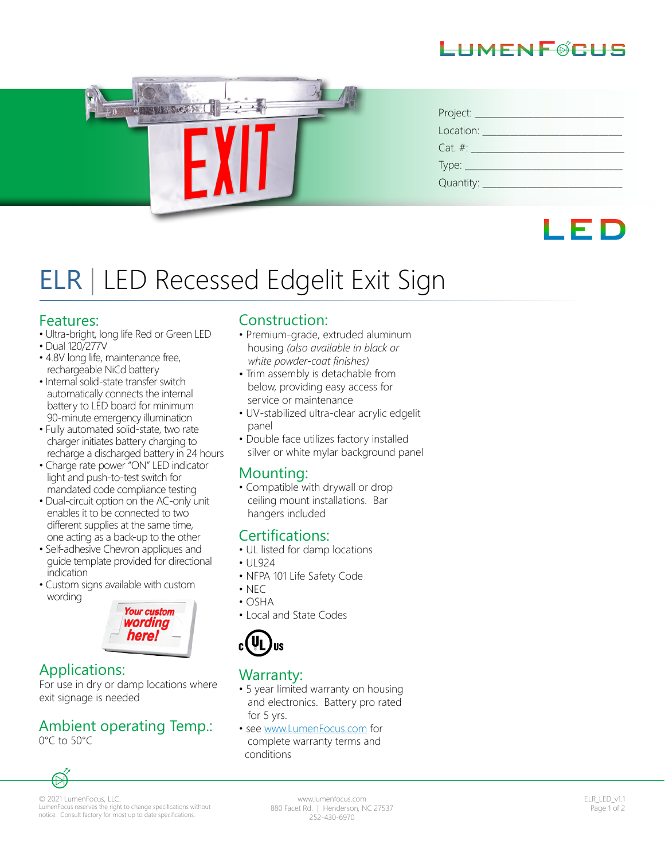



| Project:   |
|------------|
| Location:  |
| $Cat. \#:$ |
|            |
| Quantity:  |



# ELR | LED Recessed Edgelit Exit Sign

#### Features:

- Ultra-bright, long life Red or Green LED
- Dual 120/277V
- 4.8V long life, maintenance free, rechargeable NiCd battery
- Internal solid-state transfer switch automatically connects the internal battery to LED board for minimum 90-minute emergency illumination
- Fully automated solid-state, two rate charger initiates battery charging to recharge a discharged battery in 24 hours
- Charge rate power "ON" LED indicator light and push-to-test switch for mandated code compliance testing
- Dual-circuit option on the AC-only unit enables it to be connected to two different supplies at the same time, one acting as a back-up to the other
- Self-adhesive Chevron appliques and guide template provided for directional indication
- Custom signs available with custom wording



#### Applications:

For use in dry or damp locations where exit signage is needed

## Ambient operating Temp.:

0°C to 50°C

 $\mathbb{H}$ 

#### Construction:

- Premium-grade, extruded aluminum housing *(also available in black or white powder-coat finishes)*
- Trim assembly is detachable from below, providing easy access for service or maintenance
- UV-stabilized ultra-clear acrylic edgelit panel
- Double face utilizes factory installed silver or white mylar background panel

#### Mounting:

• Compatible with drywall or drop ceiling mount installations. Bar hangers included

#### Certifications:

- UL listed for damp locations
- UL924
- NFPA 101 Life Safety Code
- $\cdot$  NFC
- OSHA
- Local and State Codes



#### Warranty:

- 5 year limited warranty on housing and electronics. Battery pro rated for 5 yrs.
- see www.LumenFocus.com for complete warranty terms and conditions



www.lumenfocus.com 880 Facet Rd. | Henderson, NC 27537 252-430-6970